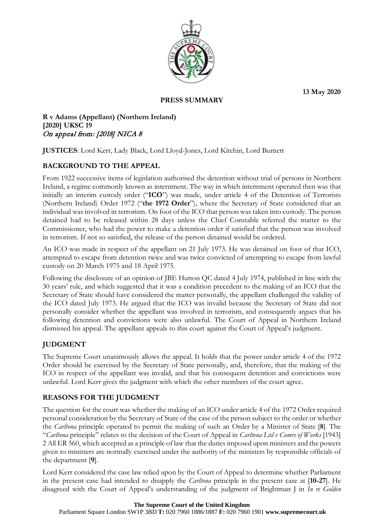**13 May 2020**



#### **PRESS SUMMARY**

**R v Adams (Appellant) (Northern Ireland) [2020] UKSC 19** On appeal from: [2018] NICA 8

**JUSTICES**: Lord Kerr, Lady Black, Lord Lloyd-Jones, Lord Kitchin, Lord Burnett

# **BACKGROUND TO THE APPEAL**

From 1922 successive items of legislation authorised the detention without trial of persons in Northern Ireland, a regime commonly known as internment. The way in which internment operated then was that initially an interim custody order ("**ICO**") was made, under article 4 of the Detention of Terrorists (Northern Ireland) Order 1972 ("**the 1972 Order**"), where the Secretary of State considered that an individual was involved in terrorism. On foot of the ICO that person was taken into custody. The person detained had to be released within 28 days unless the Chief Constable referred the matter to the Commissioner, who had the power to make a detention order if satisfied that the person was involved in terrorism. If not so satisfied, the release of the person detained would be ordered.

An ICO was made in respect of the appellant on 21 July 1973. He was detained on foot of that ICO, attempted to escape from detention twice and was twice convicted of attempting to escape from lawful custody on 20 March 1975 and 18 April 1975.

Following the disclosure of an opinion of JBE Hutton QC dated 4 July 1974, published in line with the 30 years' rule, and which suggested that it was a condition precedent to the making of an ICO that the Secretary of State should have considered the matter personally, the appellant challenged the validity of the ICO dated July 1973. He argued that the ICO was invalid because the Secretary of State did not personally consider whether the appellant was involved in terrorism, and consequently argues that his following detention and convictions were also unlawful. The Court of Appeal in Northern Ireland dismissed his appeal. The appellant appeals to this court against the Court of Appeal's judgment.

# **JUDGMENT**

The Supreme Court unanimously allows the appeal. It holds that the power under article 4 of the 1972 Order should be exercised by the Secretary of State personally, and, therefore, that the making of the ICO in respect of the appellant was invalid, and that his consequent detention and convictions were unlawful. Lord Kerr gives the judgment with which the other members of the court agree.

# **REASONS FOR THE JUDGMENT**

The question for the court was whether the making of an ICO under article 4 of the 1972 Order required personal consideration by the Secretary of State of the case of the person subject to the order or whether the *Carltona* principle operated to permit the making of such an Order by a Minister of State [**8**]. The "*Carltona* principle" relates to the decision of the Court of Appeal in *Carltona Ltd v Comrs of Works* [1943] 2 All ER 560, which accepted as a principle of law that the duties imposed upon ministers and the powers given to ministers are normally exercised under the authority of the ministers by responsible officials of the department [**9**].

Lord Kerr considered the case law relied upon by the Court of Appeal to determine whether Parliament in the present case had intended to disapply the *Carltona* principle in the present case at [**10-27**]. He disagreed with the Court of Appeal's understanding of the judgment of Brightman J in *In re Golden* 

#### **The Supreme Court of the United Kingdom**

Parliament Square London SW1P 3BD **T:** 020 7960 1886/1887 **F:** 020 7960 1901 **www.supremecourt.uk**